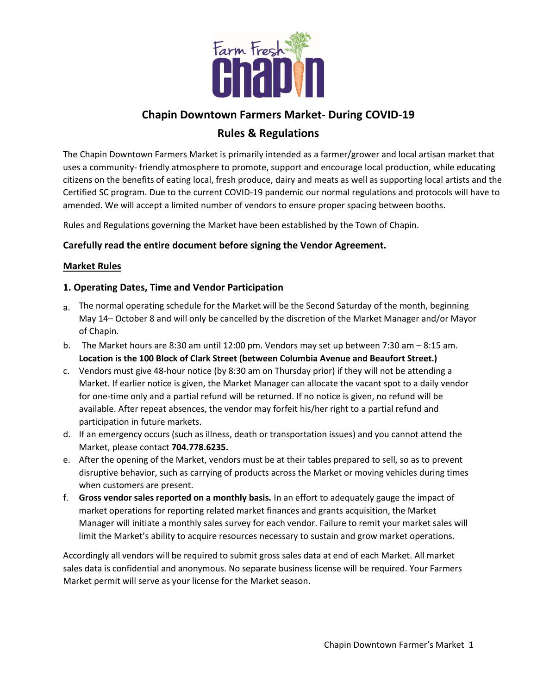

# **Chapin Downtown Farmers Market- During COVID-19**

# **Rules & Regulations**

The Chapin Downtown Farmers Market is primarily intended as a farmer/grower and local artisan market that uses a community- friendly atmosphere to promote, support and encourage local production, while educating citizens on the benefits of eating local, fresh produce, dairy and meats as well as supporting local artists and the Certified SC program. Due to the current COVID-19 pandemic our normal regulations and protocols will have to amended. We will accept a limited number of vendors to ensure proper spacing between booths.

Rules and Regulations governing the Market have been established by the Town of Chapin.

# **Carefully read the entire document before signing the Vendor Agreement.**

#### **Market Rules**

# **1. Operating Dates, Time and Vendor Participation**

- a. The normal operating schedule for the Market will be the Second Saturday of the month, beginning May 14– October 8 and will only be cancelled by the discretion of the Market Manager and/or Mayor of Chapin.
- b. The Market hours are 8:30 am until 12:00 pm. Vendors may set up between 7:30 am 8:15 am. **Location is the 100 Block of Clark Street (between Columbia Avenue and Beaufort Street.)**
- c. Vendors must give 48-hour notice (by 8:30 am on Thursday prior) if they will not be attending a Market. If earlier notice is given, the Market Manager can allocate the vacant spot to a daily vendor for one-time only and a partial refund will be returned. If no notice is given, no refund will be available. After repeat absences, the vendor may forfeit his/her right to a partial refund and participation in future markets.
- d. If an emergency occurs (such as illness, death or transportation issues) and you cannot attend the Market, please contact **704.778.6235.**
- e. After the opening of the Market, vendors must be at their tables prepared to sell, so as to prevent disruptive behavior, such as carrying of products across the Market or moving vehicles during times when customers are present.
- f. **Gross vendor sales reported on a monthly basis.** In an effort to adequately gauge the impact of market operations for reporting related market finances and grants acquisition, the Market Manager will initiate a monthly sales survey for each vendor. Failure to remit your market sales will limit the Market's ability to acquire resources necessary to sustain and grow market operations.

Accordingly all vendors will be required to submit gross sales data at end of each Market. All market sales data is confidential and anonymous. No separate business license will be required. Your Farmers Market permit will serve as your license for the Market season.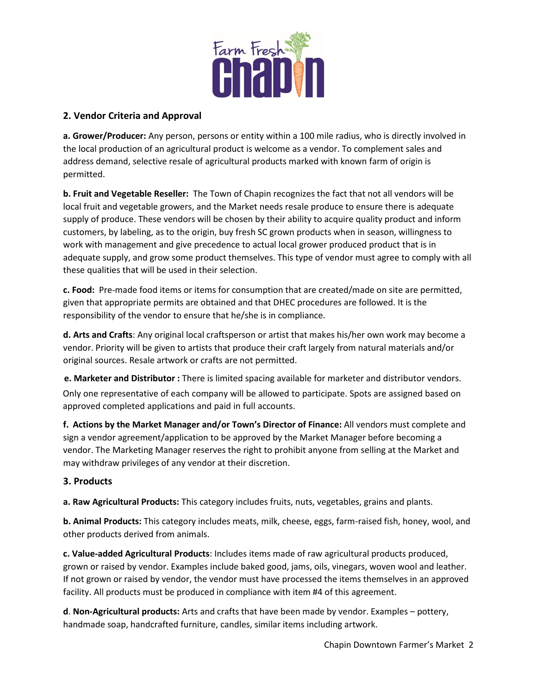

### **2. Vendor Criteria and Approval**

**a. Grower/Producer:** Any person, persons or entity within a 100 mile radius, who is directly involved in the local production of an agricultural product is welcome as a vendor. To complement sales and address demand, selective resale of agricultural products marked with known farm of origin is permitted.

**b. Fruit and Vegetable Reseller:** The Town of Chapin recognizes the fact that not all vendors will be local fruit and vegetable growers, and the Market needs resale produce to ensure there is adequate supply of produce. These vendors will be chosen by their ability to acquire quality product and inform customers, by labeling, as to the origin, buy fresh SC grown products when in season, willingness to work with management and give precedence to actual local grower produced product that is in adequate supply, and grow some product themselves. This type of vendor must agree to comply with all these qualities that will be used in their selection.

**c. Food:** Pre-made food items or items for consumption that are created/made on site are permitted, given that appropriate permits are obtained and that DHEC procedures are followed. It is the responsibility of the vendor to ensure that he/she is in compliance.

**d. Arts and Crafts**: Any original local craftsperson or artist that makes his/her own work may become a vendor. Priority will be given to artists that produce their craft largely from natural materials and/or original sources. Resale artwork or crafts are not permitted.

**e. Marketer and Distributor :** There is limited spacing available for marketer and distributor vendors. Only one representative of each company will be allowed to participate. Spots are assigned based on approved completed applications and paid in full accounts.

**f. Actions by the Market Manager and/or Town's Director of Finance:** All vendors must complete and sign a vendor agreement/application to be approved by the Market Manager before becoming a vendor. The Marketing Manager reserves the right to prohibit anyone from selling at the Market and may withdraw privileges of any vendor at their discretion.

#### **3. Products**

**a. Raw Agricultural Products:** This category includes fruits, nuts, vegetables, grains and plants.

**b. Animal Products:** This category includes meats, milk, cheese, eggs, farm-raised fish, honey, wool, and other products derived from animals.

**c. Value-added Agricultural Products**: Includes items made of raw agricultural products produced, grown or raised by vendor. Examples include baked good, jams, oils, vinegars, woven wool and leather. If not grown or raised by vendor, the vendor must have processed the items themselves in an approved facility. All products must be produced in compliance with item #4 of this agreement.

**d**. **Non-Agricultural products:** Arts and crafts that have been made by vendor. Examples – pottery, handmade soap, handcrafted furniture, candles, similar items including artwork.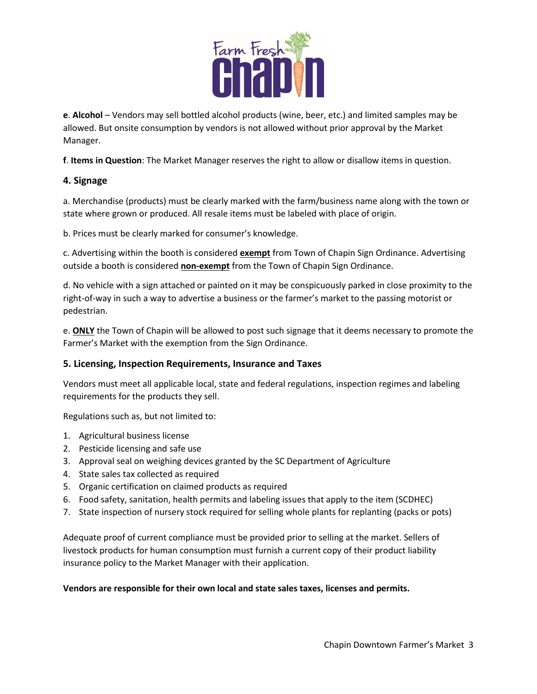

**e**. **Alcohol** – Vendors may sell bottled alcohol products (wine, beer, etc.) and limited samples may be allowed. But onsite consumption by vendors is not allowed without prior approval by the Market Manager.

**f**. **Items in Question**: The Market Manager reserves the right to allow or disallow items in question.

# **4. Signage**

a. Merchandise (products) must be clearly marked with the farm/business name along with the town or state where grown or produced. All resale items must be labeled with place of origin.

b. Prices must be clearly marked for consumer's knowledge.

c. Advertising within the booth is considered **exempt** from Town of Chapin Sign Ordinance. Advertising outside a booth is considered **non-exempt** from the Town of Chapin Sign Ordinance.

d. No vehicle with a sign attached or painted on it may be conspicuously parked in close proximity to the right-of-way in such a way to advertise a business or the farmer's market to the passing motorist or pedestrian.

e. **ONLY** the Town of Chapin will be allowed to post such signage that it deems necessary to promote the Farmer's Market with the exemption from the Sign Ordinance.

#### **5. Licensing, Inspection Requirements, Insurance and Taxes**

Vendors must meet all applicable local, state and federal regulations, inspection regimes and labeling requirements for the products they sell.

Regulations such as, but not limited to:

- 1. Agricultural business license
- 2. Pesticide licensing and safe use
- 3. Approval seal on weighing devices granted by the SC Department of Agriculture
- 4. State sales tax collected as required
- 5. Organic certification on claimed products as required
- 6. Food safety, sanitation, health permits and labeling issues that apply to the item (SCDHEC)
- 7. State inspection of nursery stock required for selling whole plants for replanting (packs or pots)

Adequate proof of current compliance must be provided prior to selling at the market. Sellers of livestock products for human consumption must furnish a current copy of their product liability insurance policy to the Market Manager with their application.

#### **Vendors are responsible for their own local and state sales taxes, licenses and permits.**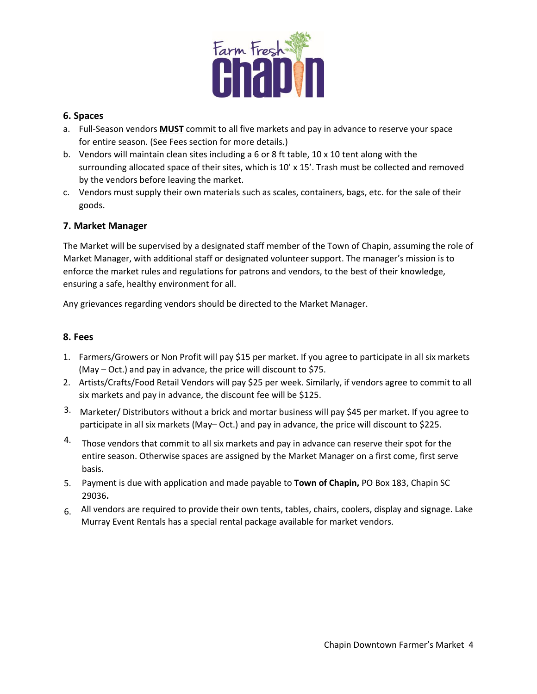

#### **6. Spaces**

- a. Full-Season vendors **MUST** commit to all five markets and pay in advance to reserve your space for entire season. (See Fees section for more details.)
- b. Vendors will maintain clean sites including a 6 or 8 ft table, 10 x 10 tent along with the surrounding allocated space of their sites, which is 10' x 15'. Trash must be collected and removed by the vendors before leaving the market.
- c. Vendors must supply their own materials such as scales, containers, bags, etc. for the sale of their goods.

# **7. Market Manager**

The Market will be supervised by a designated staff member of the Town of Chapin, assuming the role of Market Manager, with additional staff or designated volunteer support. The manager's mission is to enforce the market rules and regulations for patrons and vendors, to the best of their knowledge, ensuring a safe, healthy environment for all.

Any grievances regarding vendors should be directed to the Market Manager.

#### **8. Fees**

- 1. Farmers/Growers or Non Profit will pay \$15 per market. If you agree to participate in all six markets (May – Oct.) and pay in advance, the price will discount to \$75.
- 2. Artists/Crafts/Food Retail Vendors will pay \$25 per week. Similarly, if vendors agree to commit to all six markets and pay in advance, the discount fee will be \$125.
- 3. Marketer/ Distributors without a brick and mortar business will pay \$45 per market. If you agree to participate in all six markets (May– Oct.) and pay in advance, the price will discount to \$225.
- <sup>4.</sup> Those vendors that commit to all six markets and pay in advance can reserve their spot for the entire season. Otherwise spaces are assigned by the Market Manager on a first come, first serve basis.
- Payment is due with application and made payable to **Town of Chapin,** PO Box 183, Chapin SC 5. 29036**.**
- All vendors are required to provide their own tents, tables, chairs, coolers, display and signage. Lake 6. Murray Event Rentals has a special rental package available for market vendors.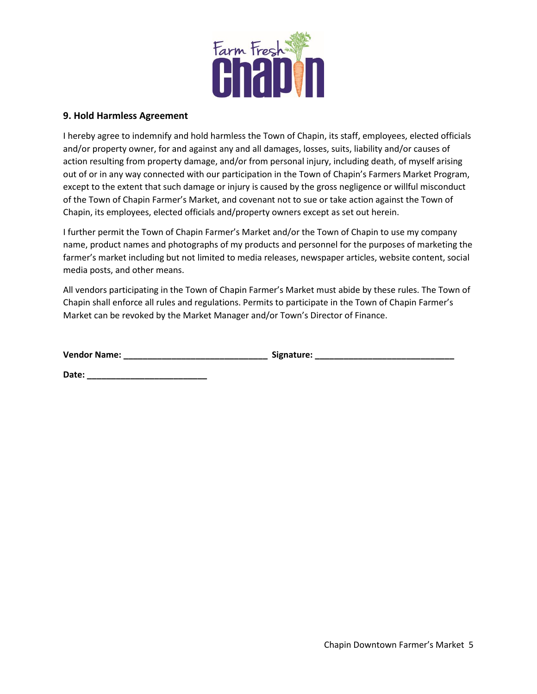

#### **9. Hold Harmless Agreement**

I hereby agree to indemnify and hold harmless the Town of Chapin, its staff, employees, elected officials and/or property owner, for and against any and all damages, losses, suits, liability and/or causes of action resulting from property damage, and/or from personal injury, including death, of myself arising out of or in any way connected with our participation in the Town of Chapin's Farmers Market Program, except to the extent that such damage or injury is caused by the gross negligence or willful misconduct of the Town of Chapin Farmer's Market, and covenant not to sue or take action against the Town of Chapin, its employees, elected officials and/property owners except as set out herein.

I further permit the Town of Chapin Farmer's Market and/or the Town of Chapin to use my company name, product names and photographs of my products and personnel for the purposes of marketing the farmer's market including but not limited to media releases, newspaper articles, website content, social media posts, and other means.

All vendors participating in the Town of Chapin Farmer's Market must abide by these rules. The Town of Chapin shall enforce all rules and regulations. Permits to participate in the Town of Chapin Farmer's Market can be revoked by the Market Manager and/or Town's Director of Finance.

**Vendor Name: \_\_\_\_\_\_\_\_\_\_\_\_\_\_\_\_\_\_\_\_\_\_\_\_\_\_\_\_\_\_ Signature: \_\_\_\_\_\_\_\_\_\_\_\_\_\_\_\_\_\_\_\_\_\_\_\_\_\_\_\_\_** 

**Date: \_\_\_\_\_\_\_\_\_\_\_\_\_\_\_\_\_\_\_\_\_\_\_\_\_**